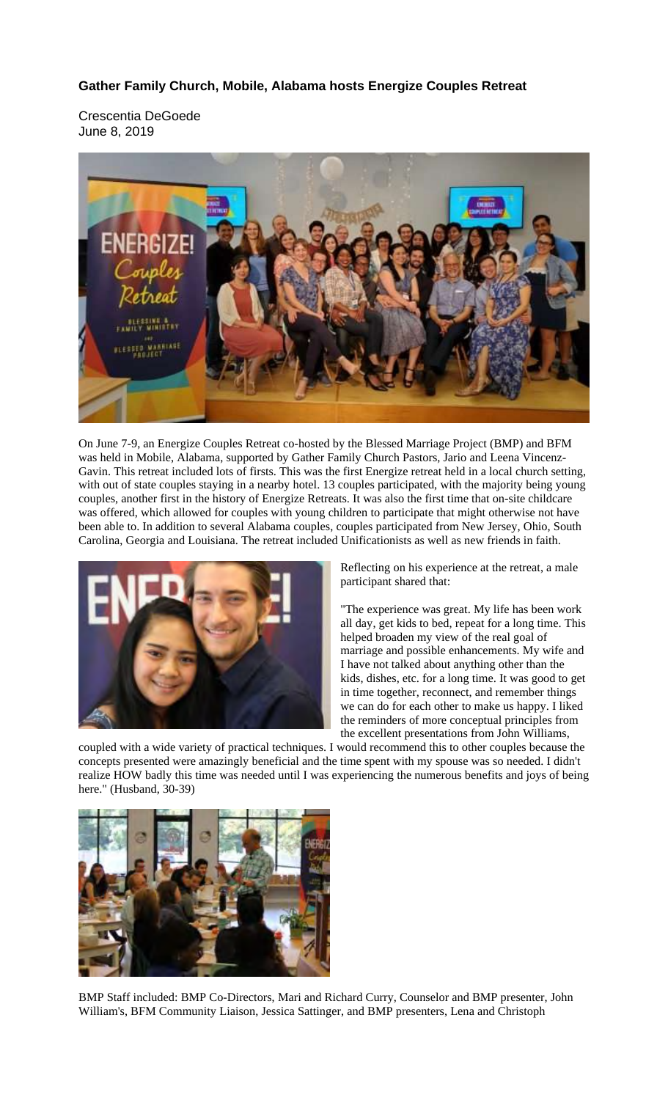## **Gather Family Church, Mobile, Alabama hosts Energize Couples Retreat**

Crescentia DeGoede June 8, 2019



On June 7-9, an Energize Couples Retreat co-hosted by the Blessed Marriage Project (BMP) and BFM was held in Mobile, Alabama, supported by Gather Family Church Pastors, Jario and Leena Vincenz-Gavin. This retreat included lots of firsts. This was the first Energize retreat held in a local church setting, with out of state couples staying in a nearby hotel. 13 couples participated, with the majority being young couples, another first in the history of Energize Retreats. It was also the first time that on-site childcare was offered, which allowed for couples with young children to participate that might otherwise not have been able to. In addition to several Alabama couples, couples participated from New Jersey, Ohio, South Carolina, Georgia and Louisiana. The retreat included Unificationists as well as new friends in faith.



Reflecting on his experience at the retreat, a male participant shared that:

"The experience was great. My life has been work all day, get kids to bed, repeat for a long time. This helped broaden my view of the real goal of marriage and possible enhancements. My wife and I have not talked about anything other than the kids, dishes, etc. for a long time. It was good to get in time together, reconnect, and remember things we can do for each other to make us happy. I liked the reminders of more conceptual principles from the excellent presentations from John Williams,

coupled with a wide variety of practical techniques. I would recommend this to other couples because the concepts presented were amazingly beneficial and the time spent with my spouse was so needed. I didn't realize HOW badly this time was needed until I was experiencing the numerous benefits and joys of being here." (Husband, 30-39)



BMP Staff included: BMP Co-Directors, Mari and Richard Curry, Counselor and BMP presenter, John William's, BFM Community Liaison, Jessica Sattinger, and BMP presenters, Lena and Christoph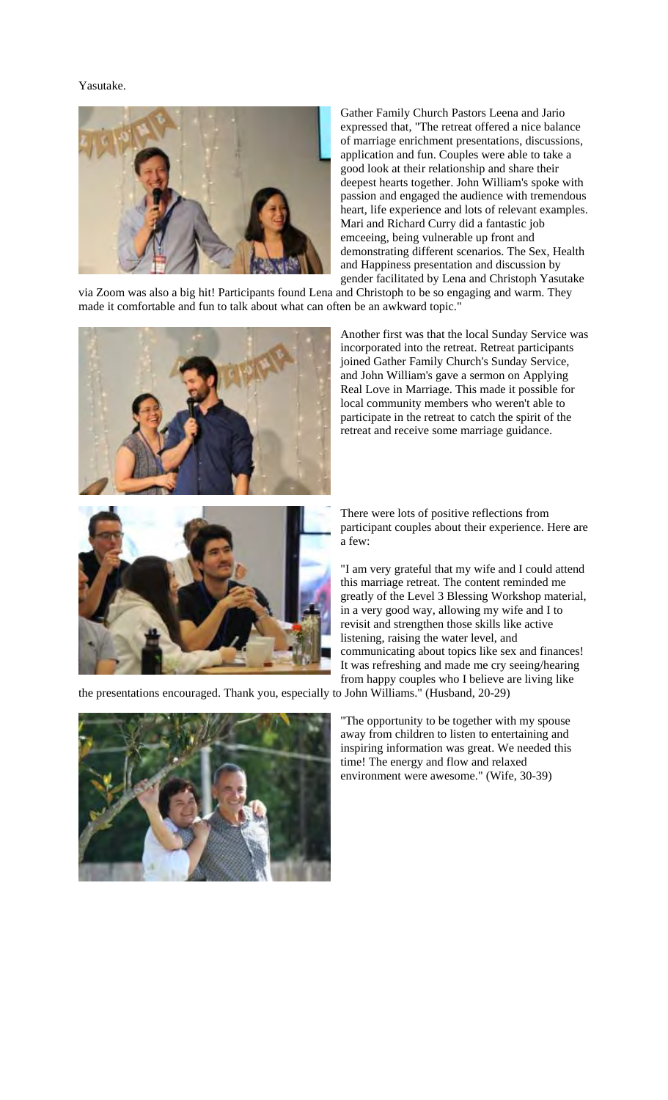Yasutake.



Gather Family Church Pastors Leena and Jario expressed that, "The retreat offered a nice balance of marriage enrichment presentations, discussions, application and fun. Couples were able to take a good look at their relationship and share their deepest hearts together. John William's spoke with passion and engaged the audience with tremendous heart, life experience and lots of relevant examples. Mari and Richard Curry did a fantastic job emceeing, being vulnerable up front and demonstrating different scenarios. The Sex, Health and Happiness presentation and discussion by gender facilitated by Lena and Christoph Yasutake

via Zoom was also a big hit! Participants found Lena and Christoph to be so engaging and warm. They made it comfortable and fun to talk about what can often be an awkward topic."



Another first was that the local Sunday Service was incorporated into the retreat. Retreat participants joined Gather Family Church's Sunday Service, and John William's gave a sermon on Applying Real Love in Marriage. This made it possible for local community members who weren't able to participate in the retreat to catch the spirit of the retreat and receive some marriage guidance.



There were lots of positive reflections from participant couples about their experience. Here are

"I am very grateful that my wife and I could attend this marriage retreat. The content reminded me greatly of the Level 3 Blessing Workshop material, in a very good way, allowing my wife and I to revisit and strengthen those skills like active listening, raising the water level, and communicating about topics like sex and finances! It was refreshing and made me cry seeing/hearing from happy couples who I believe are living like

the presentations encouraged. Thank you, especially to John Williams." (Husband, 20-29)



"The opportunity to be together with my spouse away from children to listen to entertaining and inspiring information was great. We needed this time! The energy and flow and relaxed environment were awesome." (Wife, 30-39)